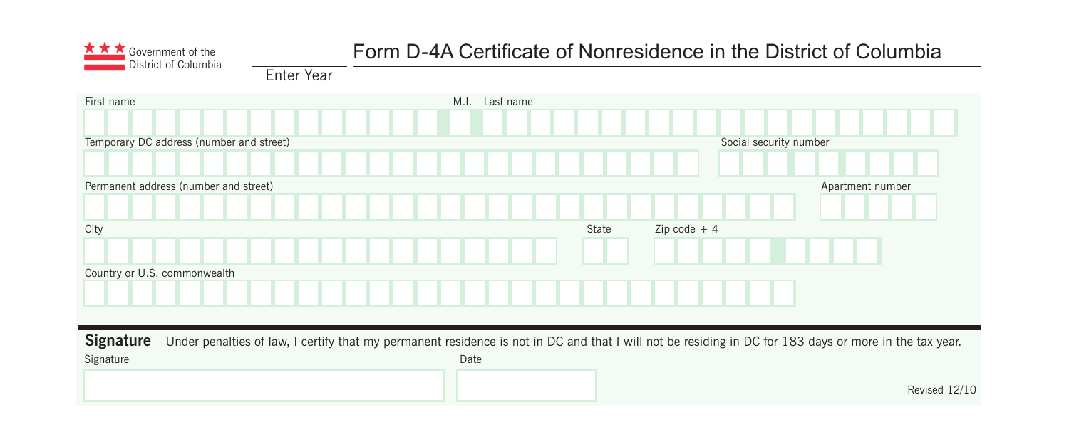

# Government of the *District of Columbia District of Columbia*<br>District of Columbia *notely and Cumulter Columbia District of Columbia*

Enter Year

| First name                                                                                                                                                                 | M.I. Last name |       |                        |                  |
|----------------------------------------------------------------------------------------------------------------------------------------------------------------------------|----------------|-------|------------------------|------------------|
|                                                                                                                                                                            |                |       |                        |                  |
| Temporary DC address (number and street)                                                                                                                                   |                |       | Social security number |                  |
|                                                                                                                                                                            |                |       |                        |                  |
| Permanent address (number and street)                                                                                                                                      |                |       |                        | Apartment number |
|                                                                                                                                                                            |                |       |                        |                  |
| City                                                                                                                                                                       |                | State | $Zip code + 4$         |                  |
|                                                                                                                                                                            |                |       |                        |                  |
| Country or U.S. commonwealth                                                                                                                                               |                |       |                        |                  |
|                                                                                                                                                                            |                |       |                        |                  |
|                                                                                                                                                                            |                |       |                        |                  |
| <b>Signature</b><br>Under penalties of law, I certify that my permanent residence is not in DC and that I will not be residing in DC for 183 days or more in the tax year. |                |       |                        |                  |
| Signature                                                                                                                                                                  | Date           |       |                        |                  |
|                                                                                                                                                                            |                |       |                        | Revised 12/10    |
|                                                                                                                                                                            |                |       |                        |                  |